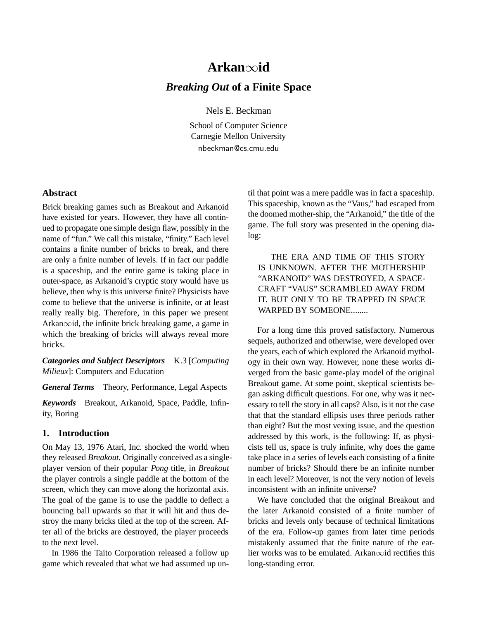# **Arkan**∞**id** *Breaking Out* **of a Finite Space**

Nels E. Beckman

School of Computer Science Carnegie Mellon University nbeckman@cs.cmu.edu

# **Abstract**

Brick breaking games such as Breakout and Arkanoid have existed for years. However, they have all continued to propagate one simple design flaw, possibly in the name of "fun." We call this mistake, "finity." Each level contains a finite number of bricks to break, and there are only a finite number of levels. If in fact our paddle is a spaceship, and the entire game is taking place in outer-space, as Arkanoid's cryptic story would have us believe, then why is this universe finite? Physicists have come to believe that the universe is infinite, or at least really really big. Therefore, in this paper we present Arkan∞id, the infinite brick breaking game, a game in which the breaking of bricks will always reveal more bricks.

*Categories and Subject Descriptors* K.3 [*Computing Milieux*]: Computers and Education

*General Terms* Theory, Performance, Legal Aspects

*Keywords* Breakout, Arkanoid, Space, Paddle, Infinity, Boring

## **1. Introduction**

On May 13, 1976 Atari, Inc. shocked the world when they released *Breakout*. Originally conceived as a singleplayer version of their popular *Pong* title, in *Breakout* the player controls a single paddle at the bottom of the screen, which they can move along the horizontal axis. The goal of the game is to use the paddle to deflect a bouncing ball upwards so that it will hit and thus destroy the many bricks tiled at the top of the screen. After all of the bricks are destroyed, the player proceeds to the next level.

In 1986 the Taito Corporation released a follow up game which revealed that what we had assumed up until that point was a mere paddle was in fact a spaceship. This spaceship, known as the "Vaus," had escaped from the doomed mother-ship, the "Arkanoid," the title of the game. The full story was presented in the opening dialog:

THE ERA AND TIME OF THIS STORY IS UNKNOWN. AFTER THE MOTHERSHIP "ARKANOID" WAS DESTROYED, A SPACE-CRAFT "VAUS" SCRAMBLED AWAY FROM IT. BUT ONLY TO BE TRAPPED IN SPACE WARPED BY SOMEONE........

For a long time this proved satisfactory. Numerous sequels, authorized and otherwise, were developed over the years, each of which explored the Arkanoid mythology in their own way. However, none these works diverged from the basic game-play model of the original Breakout game. At some point, skeptical scientists began asking difficult questions. For one, why was it necessary to tell the story in all caps? Also, is it not the case that that the standard ellipsis uses three periods rather than eight? But the most vexing issue, and the question addressed by this work, is the following: If, as physicists tell us, space is truly infinite, why does the game take place in a series of levels each consisting of a finite number of bricks? Should there be an infinite number in each level? Moreover, is not the very notion of levels inconsistent with an infinite universe?

We have concluded that the original Breakout and the later Arkanoid consisted of a finite number of bricks and levels only because of technical limitations of the era. Follow-up games from later time periods mistakenly assumed that the finite nature of the earlier works was to be emulated. Arkan∞id rectifies this long-standing error.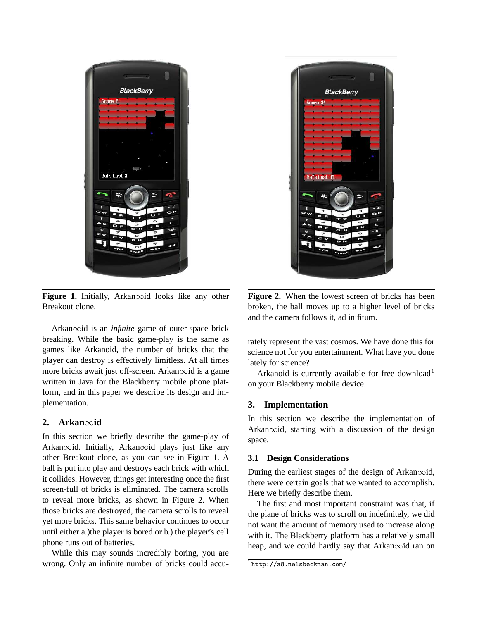

**Figure 1.** Initially, Arkan∞id looks like any other Breakout clone.

Arkan∞id is an *infinite* game of outer-space brick breaking. While the basic game-play is the same as games like Arkanoid, the number of bricks that the player can destroy is effectively limitless. At all times more bricks await just off-screen. Arkan∞id is a game written in Java for the Blackberry mobile phone platform, and in this paper we describe its design and implementation.

# **2. Arkan**∞**id**

In this section we briefly describe the game-play of Arkan∞id. Initially, Arkan∞id plays just like any other Breakout clone, as you can see in Figure 1. A ball is put into play and destroys each brick with which it collides. However, things get interesting once the first screen-full of bricks is eliminated. The camera scrolls to reveal more bricks, as shown in Figure 2. When those bricks are destroyed, the camera scrolls to reveal yet more bricks. This same behavior continues to occur until either a.)the player is bored or b.) the player's cell phone runs out of batteries.

While this may sounds incredibly boring, you are wrong. Only an infinite number of bricks could accu-



**Figure 2.** When the lowest screen of bricks has been broken, the ball moves up to a higher level of bricks and the camera follows it, ad inifitum.

rately represent the vast cosmos. We have done this for science not for you entertainment. What have you done lately for science?

Arkanoid is currently available for free download<sup>1</sup> on your Blackberry mobile device.

## **3. Implementation**

In this section we describe the implementation of Arkan∞id, starting with a discussion of the design space.

#### **3.1 Design Considerations**

During the earliest stages of the design of Arkan∞id, there were certain goals that we wanted to accomplish. Here we briefly describe them.

The first and most important constraint was that, if the plane of bricks was to scroll on indefinitely, we did not want the amount of memory used to increase along with it. The Blackberry platform has a relatively small heap, and we could hardly say that Arkan∞id ran on

 $1$ http://a8.nelsbeckman.com/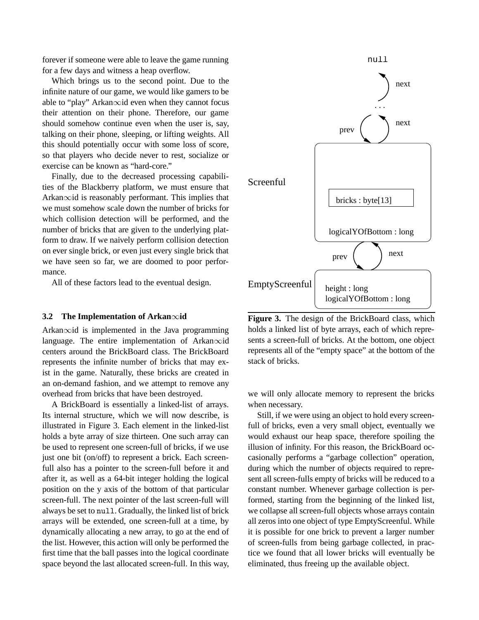forever if someone were able to leave the game running for a few days and witness a heap overflow.

Which brings us to the second point. Due to the infinite nature of our game, we would like gamers to be able to "play" Arkan∞id even when they cannot focus their attention on their phone. Therefore, our game should somehow continue even when the user is, say, talking on their phone, sleeping, or lifting weights. All this should potentially occur with some loss of score, so that players who decide never to rest, socialize or exercise can be known as "hard-core."

Finally, due to the decreased processing capabilities of the Blackberry platform, we must ensure that Arkan∞id is reasonably performant. This implies that we must somehow scale down the number of bricks for which collision detection will be performed, and the number of bricks that are given to the underlying platform to draw. If we naively perform collision detection on ever single brick, or even just every single brick that we have seen so far, we are doomed to poor performance.

All of these factors lead to the eventual design.

# **3.2 The Implementation of Arkan**∞**id**

Arkan∞id is implemented in the Java programming language. The entire implementation of Arkan∞id centers around the BrickBoard class. The BrickBoard represents the infinite number of bricks that may exist in the game. Naturally, these bricks are created in an on-demand fashion, and we attempt to remove any overhead from bricks that have been destroyed.

A BrickBoard is essentially a linked-list of arrays. Its internal structure, which we will now describe, is illustrated in Figure 3. Each element in the linked-list holds a byte array of size thirteen. One such array can be used to represent one screen-full of bricks, if we use just one bit (on/off) to represent a brick. Each screenfull also has a pointer to the screen-full before it and after it, as well as a 64-bit integer holding the logical position on the y axis of the bottom of that particular screen-full. The next pointer of the last screen-full will always be set to null. Gradually, the linked list of brick arrays will be extended, one screen-full at a time, by dynamically allocating a new array, to go at the end of the list. However, this action will only be performed the first time that the ball passes into the logical coordinate space beyond the last allocated screen-full. In this way,



**Figure 3.** The design of the BrickBoard class, which holds a linked list of byte arrays, each of which represents a screen-full of bricks. At the bottom, one object represents all of the "empty space" at the bottom of the stack of bricks.

we will only allocate memory to represent the bricks when necessary.

Still, if we were using an object to hold every screenfull of bricks, even a very small object, eventually we would exhaust our heap space, therefore spoiling the illusion of infinity. For this reason, the BrickBoard occasionally performs a "garbage collection" operation, during which the number of objects required to represent all screen-fulls empty of bricks will be reduced to a constant number. Whenever garbage collection is performed, starting from the beginning of the linked list, we collapse all screen-full objects whose arrays contain all zeros into one object of type EmptyScreenful. While it is possible for one brick to prevent a larger number of screen-fulls from being garbage collected, in practice we found that all lower bricks will eventually be eliminated, thus freeing up the available object.